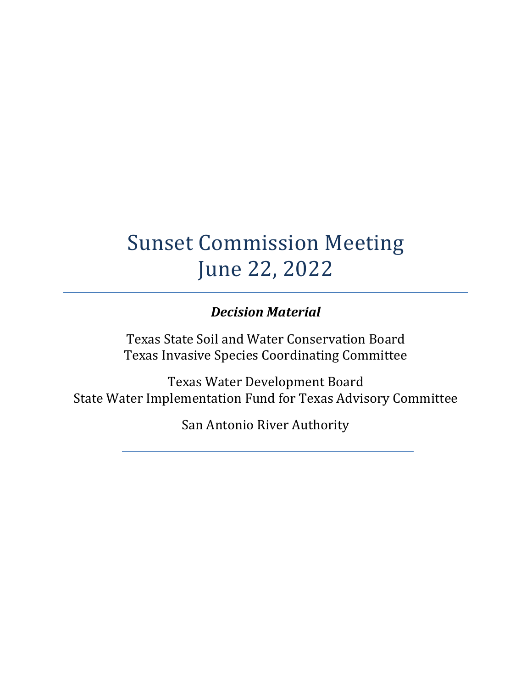# Sunset Commission Meeting June 22, 2022

### *Decision Material*

Texas State Soil and Water Conservation Board Texas Invasive Species Coordinating Committee

Texas Water Development Board State Water Implementation Fund for Texas Advisory Committee

San Antonio River Authority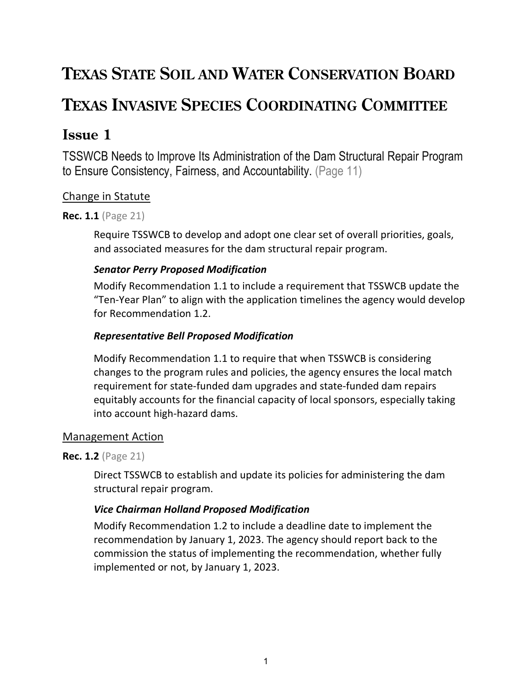## **TEXAS STATE SOIL AND WATER CONSERVATION BOARD**

## **TEXAS INVASIVE SPECIES COORDINATING COMMITTEE**

### **Issue 1**

TSSWCB Needs to Improve Its Administration of the Dam Structural Repair Program to Ensure Consistency, Fairness, and Accountability. (Page 11)

### Change in Statute

#### **Rec. 1.1** (Page 21)

Require TSSWCB to develop and adopt one clear set of overall priorities, goals, and associated measures for the dam structural repair program.

### *Senator Perry Proposed Modification*

Modify Recommendation 1.1 to include a requirement that TSSWCB update the "Ten-Year Plan" to align with the application timelines the agency would develop for Recommendation 1.2.

### *Representative Bell Proposed Modification*

Modify Recommendation 1.1 to require that when TSSWCB is considering changes to the program rules and policies, the agency ensures the local match requirement for state-funded dam upgrades and state-funded dam repairs equitably accounts for the financial capacity of local sponsors, especially taking into account high-hazard dams.

### Management Action

### **Rec. 1.2** (Page 21)

Direct TSSWCB to establish and update its policies for administering the dam structural repair program.

### *Vice Chairman Holland Proposed Modification*

Modify Recommendation 1.2 to include a deadline date to implement the recommendation by January 1, 2023. The agency should report back to the commission the status of implementing the recommendation, whether fully implemented or not, by January 1, 2023.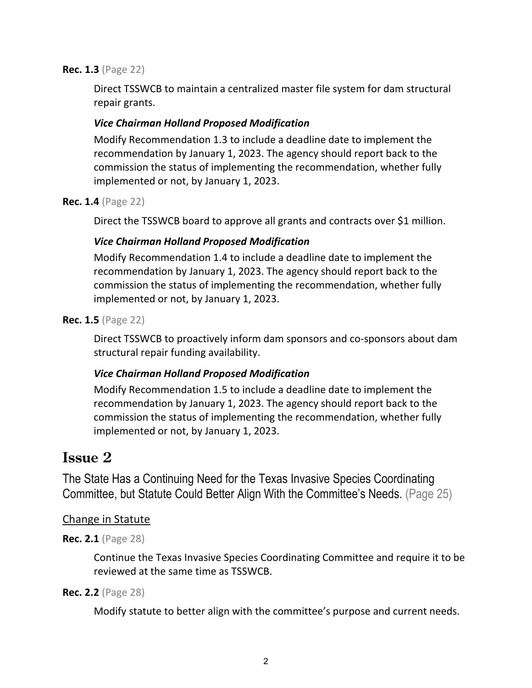#### **Rec. 1.3** (Page 22)

Direct TSSWCB to maintain a centralized master file system for dam structural repair grants.

### *Vice Chairman Holland Proposed Modification*

Modify Recommendation 1.3 to include a deadline date to implement the recommendation by January 1, 2023. The agency should report back to the commission the status of implementing the recommendation, whether fully implemented or not, by January 1, 2023.

**Rec. 1.4** (Page 22)

Direct the TSSWCB board to approve all grants and contracts over \$1 million.

### *Vice Chairman Holland Proposed Modification*

Modify Recommendation 1.4 to include a deadline date to implement the recommendation by January 1, 2023. The agency should report back to the commission the status of implementing the recommendation, whether fully implemented or not, by January 1, 2023.

**Rec. 1.5** (Page 22)

Direct TSSWCB to proactively inform dam sponsors and co-sponsors about dam structural repair funding availability.

### *Vice Chairman Holland Proposed Modification*

Modify Recommendation 1.5 to include a deadline date to implement the recommendation by January 1, 2023. The agency should report back to the commission the status of implementing the recommendation, whether fully implemented or not, by January 1, 2023.

### **Issue 2**

The State Has a Continuing Need for the Texas Invasive Species Coordinating Committee, but Statute Could Better Align With the Committee's Needs. (Page 25)

### Change in Statute

### **Rec. 2.1** (Page 28)

Continue the Texas Invasive Species Coordinating Committee and require it to be reviewed at the same time as TSSWCB.

### **Rec. 2.2** (Page 28)

Modify statute to better align with the committee's purpose and current needs.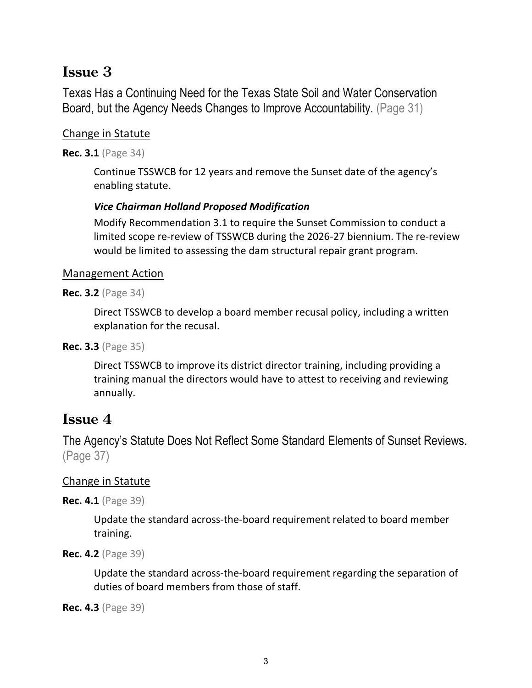### **Issue 3**

Texas Has a Continuing Need for the Texas State Soil and Water Conservation Board, but the Agency Needs Changes to Improve Accountability. (Page 31)

### Change in Statute

**Rec. 3.1** (Page 34)

Continue TSSWCB for 12 years and remove the Sunset date of the agency's enabling statute.

### *Vice Chairman Holland Proposed Modification*

Modify Recommendation 3.1 to require the Sunset Commission to conduct a limited scope re-review of TSSWCB during the 2026-27 biennium. The re-review would be limited to assessing the dam structural repair grant program.

### Management Action

**Rec. 3.2** (Page 34)

Direct TSSWCB to develop a board member recusal policy, including a written explanation for the recusal.

**Rec. 3.3** (Page 35)

Direct TSSWCB to improve its district director training, including providing a training manual the directors would have to attest to receiving and reviewing annually.

### **Issue 4**

The Agency's Statute Does Not Reflect Some Standard Elements of Sunset Reviews. (Page 37)

### Change in Statute

**Rec. 4.1** (Page 39)

Update the standard across-the-board requirement related to board member training.

**Rec. 4.2** (Page 39)

Update the standard across-the-board requirement regarding the separation of duties of board members from those of staff.

**Rec. 4.3** (Page 39)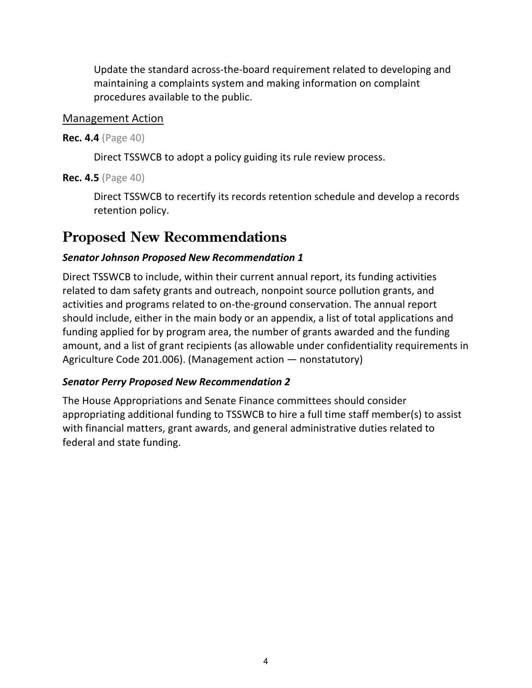Update the standard across-the-board requirement related to developing and maintaining a complaints system and making information on complaint procedures available to the public.

#### Management Action

#### **Rec. 4.4** (Page 40)

Direct TSSWCB to adopt a policy guiding its rule review process.

### **Rec. 4.5** (Page 40)

Direct TSSWCB to recertify its records retention schedule and develop a records retention policy.

### **Proposed New Recommendations**

### *Senator Johnson Proposed New Recommendation 1*

Direct TSSWCB to include, within their current annual report, its funding activities related to dam safety grants and outreach, nonpoint source pollution grants, and activities and programs related to on-the-ground conservation. The annual report should include, either in the main body or an appendix, a list of total applications and funding applied for by program area, the number of grants awarded and the funding amount, and a list of grant recipients (as allowable under confidentiality requirements in Agriculture Code 201.006). (Management action — nonstatutory)

### *Senator Perry Proposed New Recommendation 2*

The House Appropriations and Senate Finance committees should consider appropriating additional funding to TSSWCB to hire a full time staff member(s) to assist with financial matters, grant awards, and general administrative duties related to federal and state funding.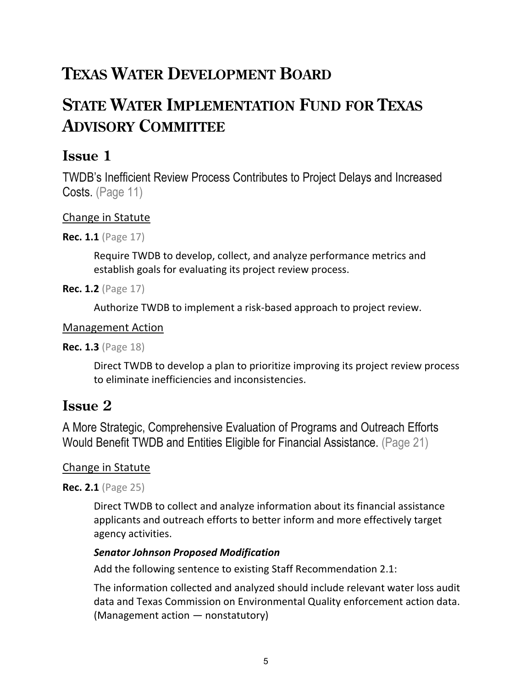## **TEXAS WATER DEVELOPMENT BOARD**

## **STATE WATER IMPLEMENTATION FUND FOR TEXAS ADVISORY COMMITTEE**

### **Issue 1**

TWDB's Inefficient Review Process Contributes to Project Delays and Increased Costs. (Page 11)

### Change in Statute

**Rec. 1.1** (Page 17)

Require TWDB to develop, collect, and analyze performance metrics and establish goals for evaluating its project review process.

**Rec. 1.2** (Page 17)

Authorize TWDB to implement a risk-based approach to project review.

### Management Action

**Rec. 1.3** (Page 18)

Direct TWDB to develop a plan to prioritize improving its project review process to eliminate inefficiencies and inconsistencies.

### **Issue 2**

A More Strategic, Comprehensive Evaluation of Programs and Outreach Efforts Would Benefit TWDB and Entities Eligible for Financial Assistance. (Page 21)

### Change in Statute

**Rec. 2.1** (Page 25)

Direct TWDB to collect and analyze information about its financial assistance applicants and outreach efforts to better inform and more effectively target agency activities.

### *Senator Johnson Proposed Modification*

Add the following sentence to existing Staff Recommendation 2.1:

The information collected and analyzed should include relevant water loss audit data and Texas Commission on Environmental Quality enforcement action data. (Management action — nonstatutory)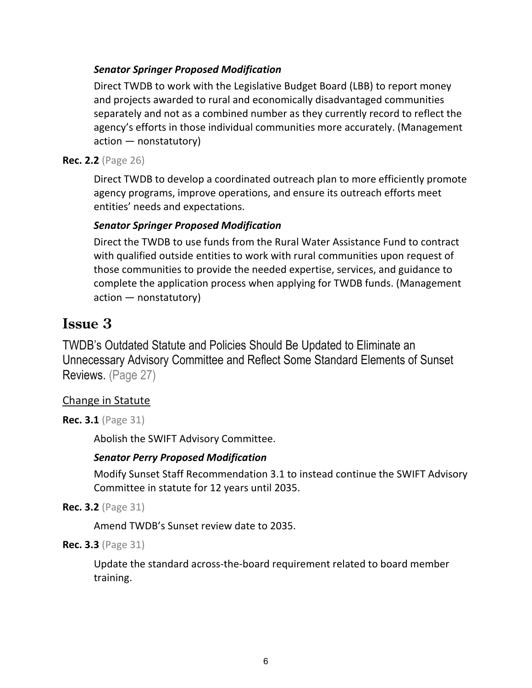### *Senator Springer Proposed Modification*

Direct TWDB to work with the Legislative Budget Board (LBB) to report money and projects awarded to rural and economically disadvantaged communities separately and not as a combined number as they currently record to reflect the agency's efforts in those individual communities more accurately. (Management action — nonstatutory)

### **Rec. 2.2** (Page 26)

Direct TWDB to develop a coordinated outreach plan to more efficiently promote agency programs, improve operations, and ensure its outreach efforts meet entities' needs and expectations.

### *Senator Springer Proposed Modification*

Direct the TWDB to use funds from the Rural Water Assistance Fund to contract with qualified outside entities to work with rural communities upon request of those communities to provide the needed expertise, services, and guidance to complete the application process when applying for TWDB funds. (Management action — nonstatutory)

### **Issue 3**

TWDB's Outdated Statute and Policies Should Be Updated to Eliminate an Unnecessary Advisory Committee and Reflect Some Standard Elements of Sunset Reviews. (Page 27)

### Change in Statute

**Rec. 3.1** (Page 31)

Abolish the SWIFT Advisory Committee.

### *Senator Perry Proposed Modification*

Modify Sunset Staff Recommendation 3.1 to instead continue the SWIFT Advisory Committee in statute for 12 years until 2035.

**Rec. 3.2** (Page 31)

Amend TWDB's Sunset review date to 2035.

**Rec. 3.3** (Page 31)

Update the standard across-the-board requirement related to board member training.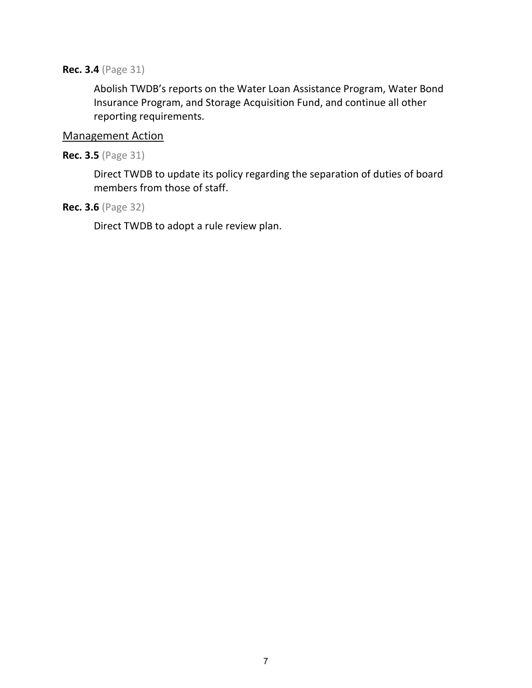#### **Rec. 3.4** (Page 31)

Abolish TWDB's reports on the Water Loan Assistance Program, Water Bond Insurance Program, and Storage Acquisition Fund, and continue all other reporting requirements.

### Management Action

#### **Rec. 3.5** (Page 31)

Direct TWDB to update its policy regarding the separation of duties of board members from those of staff.

### **Rec. 3.6** (Page 32)

Direct TWDB to adopt a rule review plan.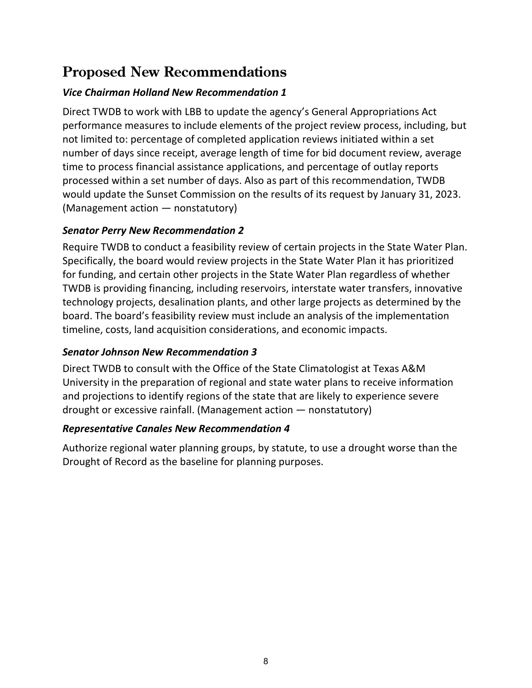### **Proposed New Recommendations**

### *Vice Chairman Holland New Recommendation 1*

Direct TWDB to work with LBB to update the agency's General Appropriations Act performance measures to include elements of the project review process, including, but not limited to: percentage of completed application reviews initiated within a set number of days since receipt, average length of time for bid document review, average time to process financial assistance applications, and percentage of outlay reports processed within a set number of days. Also as part of this recommendation, TWDB would update the Sunset Commission on the results of its request by January 31, 2023. (Management action — nonstatutory)

### *Senator Perry New Recommendation 2*

Require TWDB to conduct a feasibility review of certain projects in the State Water Plan. Specifically, the board would review projects in the State Water Plan it has prioritized for funding, and certain other projects in the State Water Plan regardless of whether TWDB is providing financing, including reservoirs, interstate water transfers, innovative technology projects, desalination plants, and other large projects as determined by the board. The board's feasibility review must include an analysis of the implementation timeline, costs, land acquisition considerations, and economic impacts.

### *Senator Johnson New Recommendation 3*

Direct TWDB to consult with the Office of the State Climatologist at Texas A&M University in the preparation of regional and state water plans to receive information and projections to identify regions of the state that are likely to experience severe drought or excessive rainfall. (Management action — nonstatutory)

### *Representative Canales New Recommendation 4*

Authorize regional water planning groups, by statute, to use a drought worse than the Drought of Record as the baseline for planning purposes.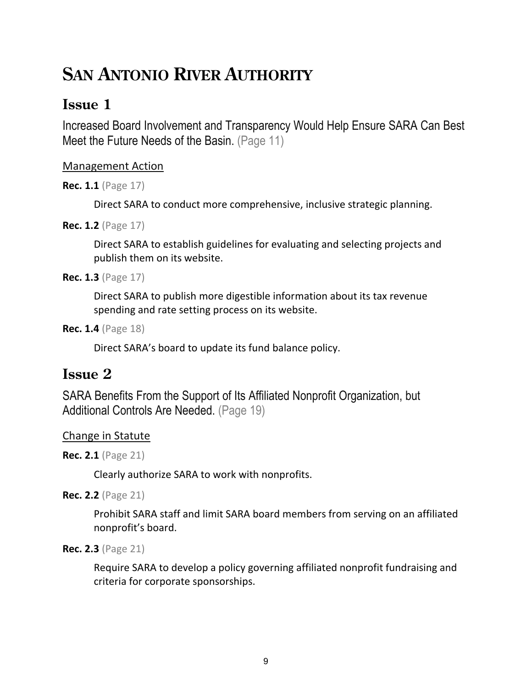## **SAN ANTONIO RIVER AUTHORITY**

### **Issue 1**

Increased Board Involvement and Transparency Would Help Ensure SARA Can Best Meet the Future Needs of the Basin. (Page 11)

### Management Action

**Rec. 1.1** (Page 17)

Direct SARA to conduct more comprehensive, inclusive strategic planning.

**Rec. 1.2** (Page 17)

Direct SARA to establish guidelines for evaluating and selecting projects and publish them on its website.

**Rec. 1.3** (Page 17)

Direct SARA to publish more digestible information about its tax revenue spending and rate setting process on its website.

```
Rec. 1.4 (Page 18)
```
Direct SARA's board to update its fund balance policy.

### **Issue 2**

SARA Benefits From the Support of Its Affiliated Nonprofit Organization, but Additional Controls Are Needed. (Page 19)

### Change in Statute

**Rec. 2.1** (Page 21)

Clearly authorize SARA to work with nonprofits.

**Rec. 2.2** (Page 21)

Prohibit SARA staff and limit SARA board members from serving on an affiliated nonprofit's board.

```
Rec. 2.3 (Page 21)
```
Require SARA to develop a policy governing affiliated nonprofit fundraising and criteria for corporate sponsorships.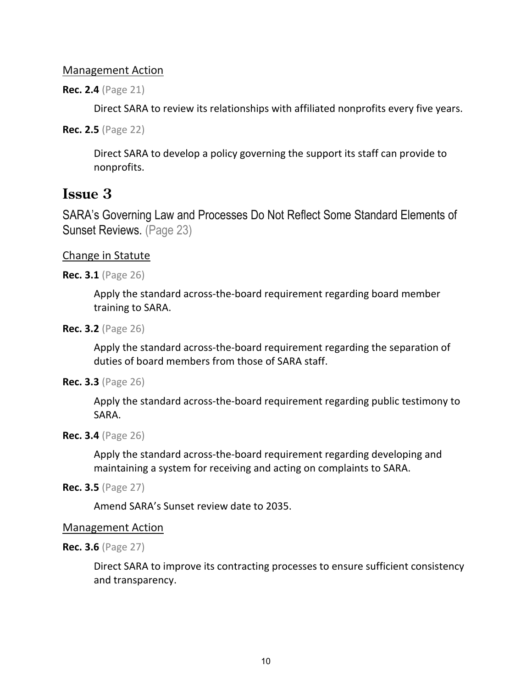### Management Action

**Rec. 2.4** (Page 21)

Direct SARA to review its relationships with affiliated nonprofits every five years.

**Rec. 2.5** (Page 22)

Direct SARA to develop a policy governing the support its staff can provide to nonprofits.

### **Issue 3**

SARA's Governing Law and Processes Do Not Reflect Some Standard Elements of Sunset Reviews. (Page 23)

### Change in Statute

**Rec. 3.1** (Page 26)

Apply the standard across-the-board requirement regarding board member training to SARA.

**Rec. 3.2** (Page 26)

Apply the standard across-the-board requirement regarding the separation of duties of board members from those of SARA staff.

```
Rec. 3.3 (Page 26)
```
Apply the standard across-the-board requirement regarding public testimony to SARA.

**Rec. 3.4** (Page 26)

Apply the standard across-the-board requirement regarding developing and maintaining a system for receiving and acting on complaints to SARA.

```
Rec. 3.5 (Page 27)
```
Amend SARA's Sunset review date to 2035.

### Management Action

**Rec. 3.6** (Page 27)

Direct SARA to improve its contracting processes to ensure sufficient consistency and transparency.